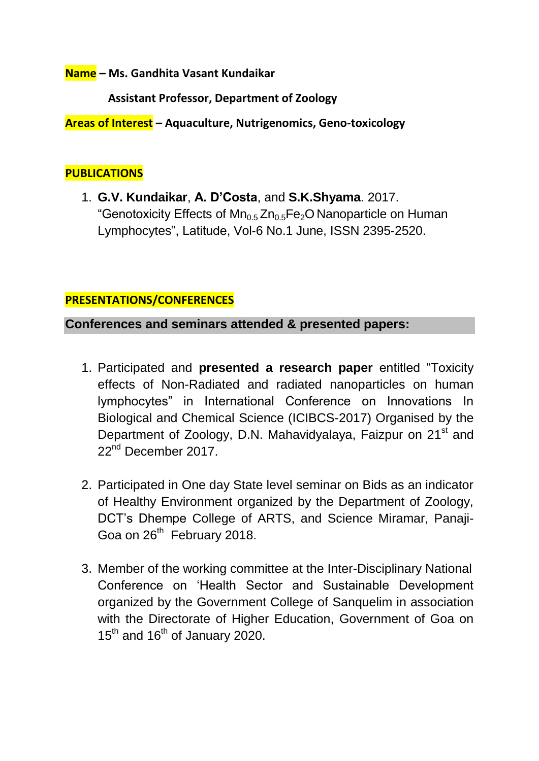**Name – Ms. Gandhita Vasant Kundaikar**

 **Assistant Professor, Department of Zoology**

**Areas of Interest – Aquaculture, Nutrigenomics, Geno-toxicology**

#### **PUBLICATIONS**

1. **G.V. Kundaikar**, **A. D'Costa**, and **S.K.Shyama**. 2017. "Genotoxicity Effects of  $Mn_{0.5}Zn_{0.5}Fe<sub>2</sub>O$  Nanoparticle on Human Lymphocytes", Latitude, Vol-6 No.1 June, ISSN 2395-2520.

### **PRESENTATIONS/CONFERENCES**

**Conferences and seminars attended & presented papers:**

- 1. Participated and **presented a research paper** entitled "Toxicity effects of Non-Radiated and radiated nanoparticles on human lymphocytes" in International Conference on Innovations In Biological and Chemical Science (ICIBCS-2017) Organised by the Department of Zoology, D.N. Mahavidyalaya, Faizpur on 21<sup>st</sup> and 22<sup>nd</sup> December 2017
- 2. Participated in One day State level seminar on Bids as an indicator of Healthy Environment organized by the Department of Zoology, DCT"s Dhempe College of ARTS, and Science Miramar, Panaji-Goa on 26<sup>th</sup> February 2018.
- 3. Member of the working committee at the Inter-Disciplinary National Conference on "Health Sector and Sustainable Development organized by the Government College of Sanquelim in association with the Directorate of Higher Education, Government of Goa on  $15<sup>th</sup>$  and 16<sup>th</sup> of January 2020.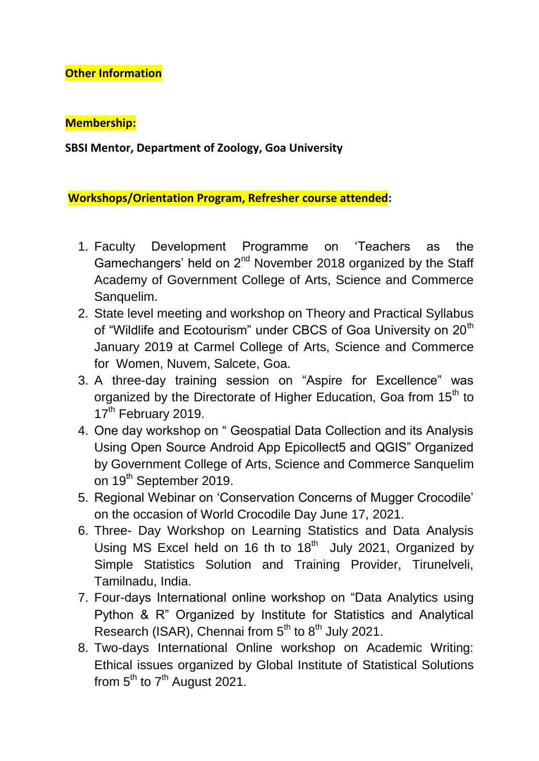## **Other Information**

## **Membership:**

**SBSI Mentor, Department of Zoology, Goa University**

**Workshops/Orientation Program, Refresher course attended:**

- 1. Faculty Development Programme on "Teachers as the Gamechangers' held on 2<sup>nd</sup> November 2018 organized by the Staff Academy of Government College of Arts, Science and Commerce Sanquelim.
- 2. State level meeting and workshop on Theory and Practical Syllabus of "Wildlife and Ecotourism" under CBCS of Goa University on 20<sup>th</sup> January 2019 at Carmel College of Arts, Science and Commerce for Women, Nuvem, Salcete, Goa.
- 3. A three-day training session on "Aspire for Excellence" was organized by the Directorate of Higher Education, Goa from 15<sup>th</sup> to 17<sup>th</sup> February 2019.
- 4. One day workshop on " Geospatial Data Collection and its Analysis Using Open Source Android App Epicollect5 and QGIS" Organized by Government College of Arts, Science and Commerce Sanquelim on 19<sup>th</sup> September 2019.
- 5. Regional Webinar on "Conservation Concerns of Mugger Crocodile" on the occasion of World Crocodile Day June 17, 2021.
- 6. Three- Day Workshop on Learning Statistics and Data Analysis Using MS Excel held on 16 th to  $18<sup>th</sup>$  July 2021, Organized by Simple Statistics Solution and Training Provider, Tirunelveli, Tamilnadu, India.
- 7. Four-days International online workshop on "Data Analytics using Python & R" Organized by Institute for Statistics and Analytical Research (ISAR), Chennai from  $5<sup>th</sup>$  to  $8<sup>th</sup>$  July 2021.
- 8. Two-days International Online workshop on Academic Writing: Ethical issues organized by Global Institute of Statistical Solutions from  $5<sup>th</sup>$  to  $7<sup>th</sup>$  August 2021.